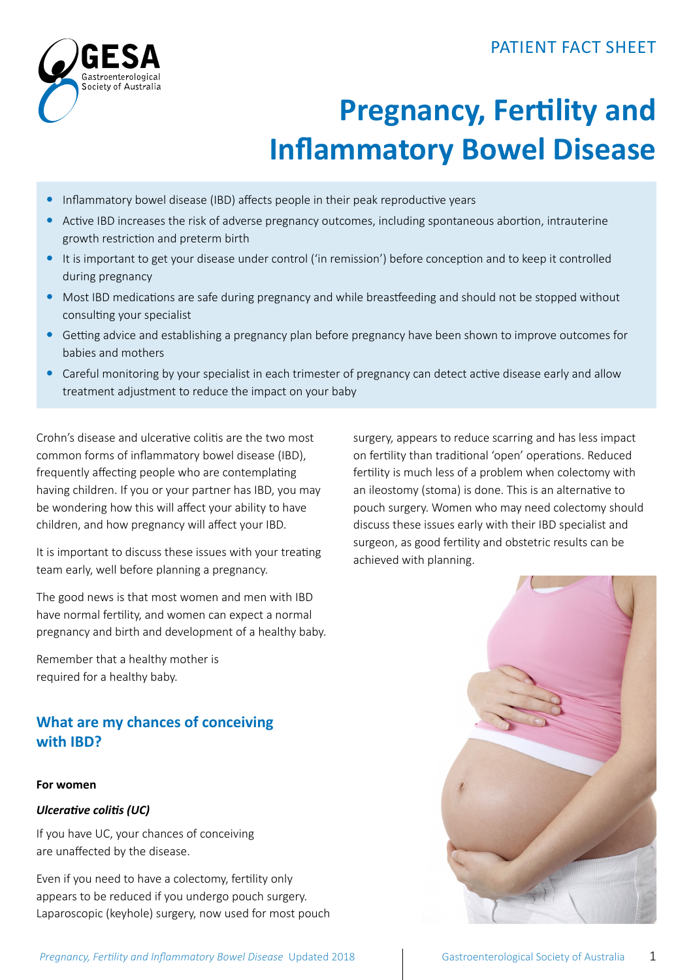# PATIENT FACT SHEET



# **Pregnancy, Fertility and Inflammatory Bowel Disease**

- Inflammatory bowel disease (IBD) affects people in their peak reproductive years
- Active IBD increases the risk of adverse pregnancy outcomes, including spontaneous abortion, intrauterine growth restriction and preterm birth
- It is important to get your disease under control ('in remission') before conception and to keep it controlled during pregnancy
- Most IBD medications are safe during pregnancy and while breastfeeding and should not be stopped without consulting your specialist
- y Getting advice and establishing a pregnancy plan before pregnancy have been shown to improve outcomes for babies and mothers
- Careful monitoring by your specialist in each trimester of pregnancy can detect active disease early and allow treatment adjustment to reduce the impact on your baby

Crohn's disease and ulcerative colitis are the two most common forms of inflammatory bowel disease (IBD), frequently affecting people who are contemplating having children. If you or your partner has IBD, you may be wondering how this will affect your ability to have children, and how pregnancy will affect your IBD.

It is important to discuss these issues with your treating team early, well before planning a pregnancy.

The good news is that most women and men with IBD have normal fertility, and women can expect a normal pregnancy and birth and development of a healthy baby.

Remember that a healthy mother is required for a healthy baby.

# **What are my chances of conceiving with IBD?**

### **For women**

### *Ulcerative colitis (UC)*

If you have UC, your chances of conceiving are unaffected by the disease.

Even if you need to have a colectomy, fertility only appears to be reduced if you undergo pouch surgery. Laparoscopic (keyhole) surgery, now used for most pouch surgery, appears to reduce scarring and has less impact on fertility than traditional 'open' operations. Reduced fertility is much less of a problem when colectomy with an ileostomy (stoma) is done. This is an alternative to pouch surgery. Women who may need colectomy should discuss these issues early with their IBD specialist and surgeon, as good fertility and obstetric results can be achieved with planning.

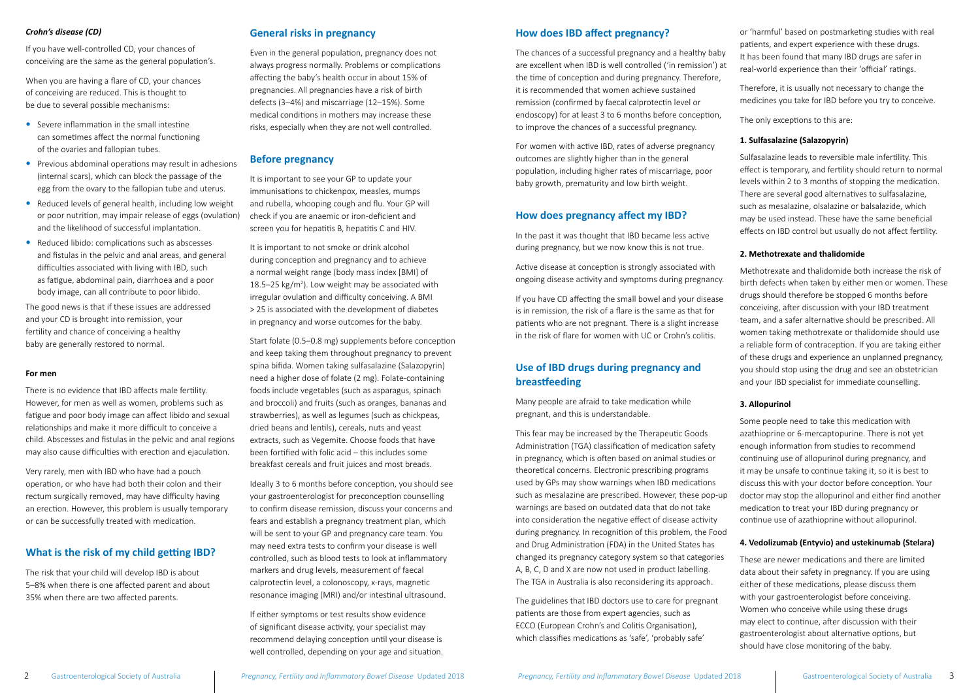# **How does IBD affect pregnancy?**

The chances of a successful pregnancy and a healthy baby are excellent when IBD is well controlled ('in remission') at the time of conception and during pregnancy. Therefore, it is recommended that women achieve sustained remission (confirmed by faecal calprotectin level or endoscopy) for at least 3 to 6 months before conception, to improve the chances of a successful pregnancy.

For women with active IBD, rates of adverse pregnancy outcomes are slightly higher than in the general population, including higher rates of miscarriage, poor baby growth, prematurity and low birth weight.

# **How does pregnancy affect my IBD?**

In the past it was thought that IBD became less active during pregnancy, but we now know this is not true.

Active disease at conception is strongly associated with ongoing disease activity and symptoms during pregnancy.

If you have CD affecting the small bowel and your disease is in remission, the risk of a flare is the same as that for patients who are not pregnant. There is a slight increase in the risk of flare for women with UC or Crohn's colitis.

# **Use of IBD drugs during pregnancy and breastfeeding**

Many people are afraid to take medication while pregnant, and this is understandable.

This fear may be increased by the Therapeutic Goods Administration (TGA) classification of medication safety in pregnancy, which is often based on animal studies or theoretical concerns. Electronic prescribing programs used by GPs may show warnings when IBD medications such as mesalazine are prescribed. However, these pop-up warnings are based on outdated data that do not take into consideration the negative effect of disease activity during pregnancy. In recognition of this problem, the Food and Drug Administration (FDA) in the United States has changed its pregnancy category system so that categories A, B, C, D and X are now not used in product labelling. The TGA in Australia is also reconsidering its approach.

The guidelines that IBD doctors use to care for pregnant patients are those from expert agencies, such as ECCO (European Crohn's and Colitis Organisation), which classifies medications as 'safe', 'probably safe'

2 Gastroenterological Society of Australia *Pregnancy, Fertility and Inflammatory Bowel Disease* Updated 2018 *Pregnancy, Fertility and Inflammatory Bowel Disease Updated 2018* Gastroenterological Society of Australia 3

or 'harmful' based on postmarketing studies with real patients, and expert experience with these drugs. It has been found that many IBD drugs are safer in real-world experience than their 'official' ratings.

Therefore, it is usually not necessary to change the medicines you take for IBD before you try to conceive.

The only exceptions to this are:

# **1. Sulfasalazine (Salazopyrin)**

- $\bullet$  Severe inflammation in the small intestine can sometimes affect the normal functioning of the ovaries and fallopian tubes.
- Previous abdominal operations may result in adhesions (internal scars), which can block the passage of the egg from the ovary to the fallopian tube and uterus.
- Reduced levels of general health, including low weight or poor nutrition, may impair release of eggs (ovulation) and the likelihood of successful implantation.
- Reduced libido: complications such as abscesses and fistulas in the pelvic and anal areas, and general difficulties associated with living with IBD, such as fatigue, abdominal pain, diarrhoea and a poor body image, can all contribute to poor libido.

Sulfasalazine leads to reversible male infertility. This effect is temporary, and fertility should return to normal levels within 2 to 3 months of stopping the medication. There are several good alternatives to sulfasalazine, such as mesalazine, olsalazine or balsalazide, which may be used instead. These have the same beneficial effects on IBD control but usually do not affect fertility.

# **2. Methotrexate and thalidomide**

Methotrexate and thalidomide both increase the risk of birth defects when taken by either men or women. These drugs should therefore be stopped 6 months before conceiving, after discussion with your IBD treatment team, and a safer alternative should be prescribed. All women taking methotrexate or thalidomide should use a reliable form of contraception. If you are taking either of these drugs and experience an unplanned pregnancy, you should stop using the drug and see an obstetrician and your IBD specialist for immediate counselling.

# **3. Allopurinol**

Some people need to take this medication with azathioprine or 6-mercaptopurine. There is not yet enough information from studies to recommend continuing use of allopurinol during pregnancy, and it may be unsafe to continue taking it, so it is best to discuss this with your doctor before conception. Your doctor may stop the allopurinol and either find another medication to treat your IBD during pregnancy or continue use of azathioprine without allopurinol.

# **4. Vedolizumab (Entyvio) and ustekinumab (Stelara)**

These are newer medications and there are limited data about their safety in pregnancy. If you are using either of these medications, please discuss them with your gastroenterologist before conceiving. Women who conceive while using these drugs may elect to continue, after discussion with their gastroenterologist about alternative options, but should have close monitoring of the baby.

## *Crohn's disease (CD)*

If you have well-controlled CD, your chances of conceiving are the same as the general population's.

When you are having a flare of CD, your chances of conceiving are reduced. This is thought to be due to several possible mechanisms:

The good news is that if these issues are addressed and your CD is brought into remission, your fertility and chance of conceiving a healthy baby are generally restored to normal.

### **For men**

There is no evidence that IBD affects male fertility. However, for men as well as women, problems such as fatigue and poor body image can affect libido and sexual relationships and make it more difficult to conceive a child. Abscesses and fistulas in the pelvic and anal regions may also cause difficulties with erection and ejaculation.

Very rarely, men with IBD who have had a pouch operation, or who have had both their colon and their rectum surgically removed, may have difficulty having an erection. However, this problem is usually temporary or can be successfully treated with medication.

# **What is the risk of my child getting IBD?**

The risk that your child will develop IBD is about 5–8% when there is one affected parent and about 35% when there are two affected parents.

# **General risks in pregnancy**

Even in the general population, pregnancy does not always progress normally. Problems or complications affecting the baby's health occur in about 15% of pregnancies. All pregnancies have a risk of birth defects (3–4%) and miscarriage (12–15%). Some medical conditions in mothers may increase these risks, especially when they are not well controlled.

## **Before pregnancy**

It is important to see your GP to update your immunisations to chickenpox, measles, mumps and rubella, whooping cough and flu. Your GP will check if you are anaemic or iron-deficient and screen you for hepatitis B, hepatitis C and HIV.

It is important to not smoke or drink alcohol during conception and pregnancy and to achieve a normal weight range (body mass index [BMI] of 18.5–25  $\text{kg/m}^2$ ). Low weight may be associated with irregular ovulation and difficulty conceiving. A BMI > 25 is associated with the development of diabetes in pregnancy and worse outcomes for the baby.

Start folate (0.5–0.8 mg) supplements before conception and keep taking them throughout pregnancy to prevent spina bifida. Women taking sulfasalazine (Salazopyrin) need a higher dose of folate (2 mg). Folate-containing foods include vegetables (such as asparagus, spinach and broccoli) and fruits (such as oranges, bananas and strawberries), as well as legumes (such as chickpeas, dried beans and lentils), cereals, nuts and yeast extracts, such as Vegemite. Choose foods that have been fortified with folic acid – this includes some breakfast cereals and fruit juices and most breads.

Ideally 3 to 6 months before conception, you should see your gastroenterologist for preconception counselling to confirm disease remission, discuss your concerns and fears and establish a pregnancy treatment plan, which will be sent to your GP and pregnancy care team. You may need extra tests to confirm your disease is well controlled, such as blood tests to look at inflammatory markers and drug levels, measurement of faecal calprotectin level, a colonoscopy, x-rays, magnetic resonance imaging (MRI) and/or intestinal ultrasound.

If either symptoms or test results show evidence of significant disease activity, your specialist may recommend delaying conception until your disease is well controlled, depending on your age and situation.